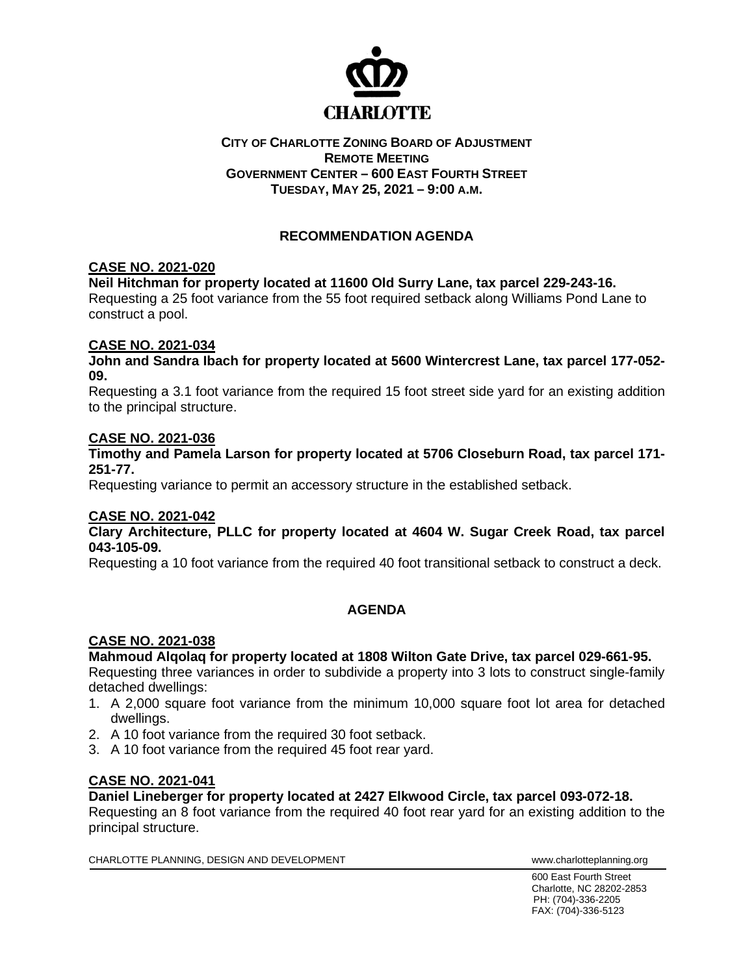

### **CITY OF CHARLOTTE ZONING BOARD OF ADJUSTMENT REMOTE MEETING GOVERNMENT CENTER – 600 EAST FOURTH STREET TUESDAY, MAY 25, 2021 – 9:00 A.M.**

# **RECOMMENDATION AGENDA**

# **CASE NO. 2021-020**

# **Neil Hitchman for property located at 11600 Old Surry Lane, tax parcel 229-243-16.**

Requesting a 25 foot variance from the 55 foot required setback along Williams Pond Lane to construct a pool.

# **CASE NO. 2021-034**

**John and Sandra Ibach for property located at 5600 Wintercrest Lane, tax parcel 177-052- 09.**

Requesting a 3.1 foot variance from the required 15 foot street side yard for an existing addition to the principal structure.

#### **CASE NO. 2021-036**

**Timothy and Pamela Larson for property located at 5706 Closeburn Road, tax parcel 171- 251-77.**

Requesting variance to permit an accessory structure in the established setback.

#### **CASE NO. 2021-042**

**Clary Architecture, PLLC for property located at 4604 W. Sugar Creek Road, tax parcel 043-105-09.**

Requesting a 10 foot variance from the required 40 foot transitional setback to construct a deck.

# **AGENDA**

# **CASE NO. 2021-038**

**Mahmoud Alqolaq for property located at 1808 Wilton Gate Drive, tax parcel 029-661-95.**

Requesting three variances in order to subdivide a property into 3 lots to construct single-family detached dwellings:

- 1. A 2,000 square foot variance from the minimum 10,000 square foot lot area for detached dwellings.
- 2. A 10 foot variance from the required 30 foot setback.
- 3. A 10 foot variance from the required 45 foot rear yard.

# **CASE NO. 2021-041**

**Daniel Lineberger for property located at 2427 Elkwood Circle, tax parcel 093-072-18.**

Requesting an 8 foot variance from the required 40 foot rear yard for an existing addition to the principal structure.

CHARLOTTE PLANNING, DESIGN AND DEVELOPMENT **WARE ACCOMMENT TO A CONSTRUCT CHARLOTTE** PLANNING.org

600 East Fourth Street Charlotte, NC 28202-2853 PH: (704)-336-2205 FAX: (704)-336-5123